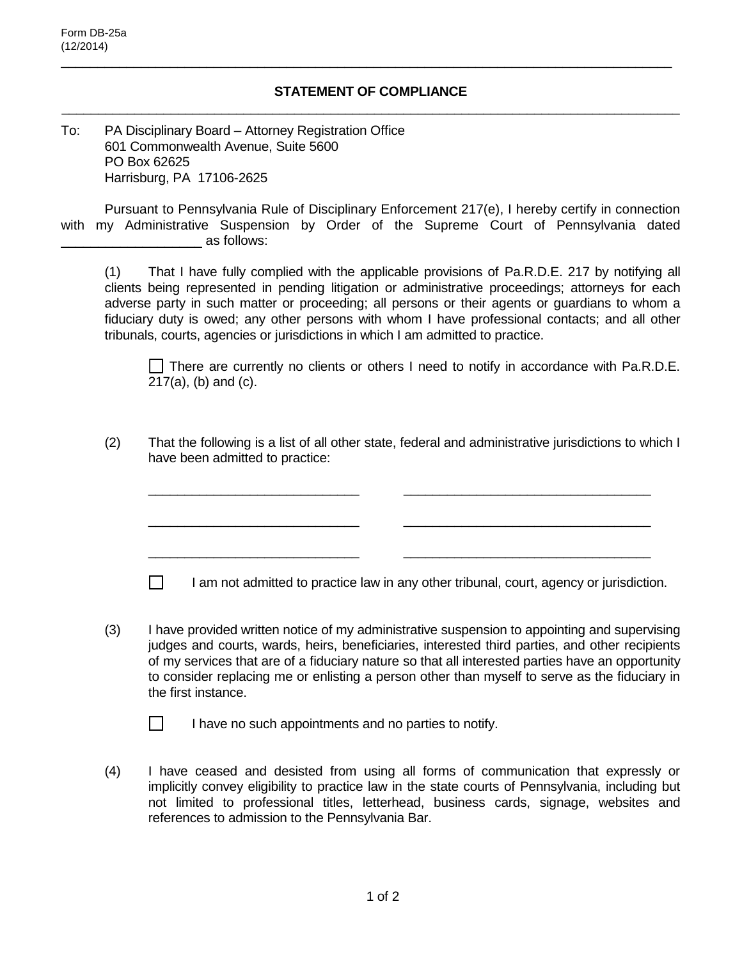## **STATEMENT OF COMPLIANCE** \_\_\_\_\_\_\_\_\_\_\_\_\_\_\_\_\_\_\_\_\_\_\_\_\_\_\_\_\_\_\_\_\_\_\_\_\_\_\_\_\_\_\_\_\_\_\_\_\_\_\_\_\_\_\_\_\_\_\_\_\_\_\_\_\_\_\_\_\_\_\_\_\_\_\_\_\_\_\_\_\_\_\_\_\_

\_\_\_\_\_\_\_\_\_\_\_\_\_\_\_\_\_\_\_\_\_\_\_\_\_\_\_\_\_\_\_\_\_\_\_\_\_\_\_\_\_\_\_\_\_\_\_\_\_\_\_\_\_\_\_\_\_\_\_\_\_\_\_\_\_\_\_\_\_\_\_\_\_\_\_\_\_\_\_\_\_\_\_\_

To: PA Disciplinary Board – Attorney Registration Office 601 Commonwealth Avenue, Suite 5600 PO Box 62625 Harrisburg, PA 17106-2625

\_\_\_\_\_\_\_\_\_\_\_\_\_\_\_\_\_\_\_\_\_\_\_\_\_\_\_\_\_

\_\_\_\_\_\_\_\_\_\_\_\_\_\_\_\_\_\_\_\_\_\_\_\_\_\_\_\_\_

\_\_\_\_\_\_\_\_\_\_\_\_\_\_\_\_\_\_\_\_\_\_\_\_\_\_\_\_\_

Pursuant to Pennsylvania Rule of Disciplinary Enforcement 217(e), I hereby certify in connection with my Administrative Suspension by Order of the Supreme Court of Pennsylvania dated \_\_\_\_\_\_\_\_\_\_\_\_\_\_\_\_\_\_\_ as follows:

(1) That I have fully complied with the applicable provisions of Pa.R.D.E. 217 by notifying all clients being represented in pending litigation or administrative proceedings; attorneys for each adverse party in such matter or proceeding; all persons or their agents or guardians to whom a fiduciary duty is owed; any other persons with whom I have professional contacts; and all other tribunals, courts, agencies or jurisdictions in which I am admitted to practice.

 $\Box$  There are currently no clients or others I need to notify in accordance with Pa.R.D.E.  $217(a)$ , (b) and (c).

(2) That the following is a list of all other state, federal and administrative jurisdictions to which I have been admitted to practice:

 $\Box$ I am not admitted to practice law in any other tribunal, court, agency or jurisdiction.

\_\_\_\_\_\_\_\_\_\_\_\_\_\_\_\_\_\_\_\_\_\_\_\_\_\_\_\_\_\_\_\_\_\_

\_\_\_\_\_\_\_\_\_\_\_\_\_\_\_\_\_\_\_\_\_\_\_\_\_\_\_\_\_\_\_\_\_\_

\_\_\_\_\_\_\_\_\_\_\_\_\_\_\_\_\_\_\_\_\_\_\_\_\_\_\_\_\_\_\_\_\_\_

- (3) I have provided written notice of my administrative suspension to appointing and supervising judges and courts, wards, heirs, beneficiaries, interested third parties, and other recipients of my services that are of a fiduciary nature so that all interested parties have an opportunity to consider replacing me or enlisting a person other than myself to serve as the fiduciary in the first instance.
	- $\Box$

I have no such appointments and no parties to notify.

(4) I have ceased and desisted from using all forms of communication that expressly or implicitly convey eligibility to practice law in the state courts of Pennsylvania, including but not limited to professional titles, letterhead, business cards, signage, websites and references to admission to the Pennsylvania Bar.